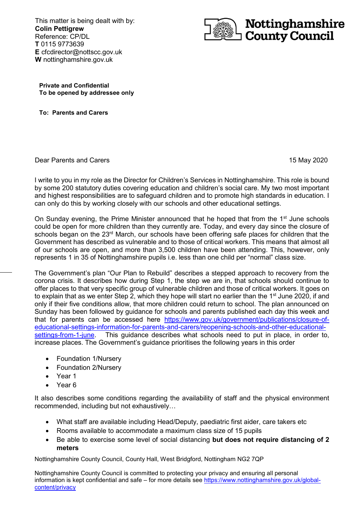**c** This matter is being dealt with by: **Colin Pettigrew** Reference: CP/DL **T** 0115 9773639 **E** cfcdirector@nottscc.gov.uk **W** nottinghamshire.gov.uk



**Private and Confidential To be opened by addressee only**

**To: Parents and Carers**

Dear Parents and Carers 15 May 2020

I write to you in my role as the Director for Children's Services in Nottinghamshire. This role is bound by some 200 statutory duties covering education and children's social care. My two most important and highest responsibilities are to safeguard children and to promote high standards in education. I can only do this by working closely with our schools and other educational settings.

On Sunday evening, the Prime Minister announced that he hoped that from the  $1<sup>st</sup>$  June schools could be open for more children than they currently are. Today, and every day since the closure of schools began on the 23<sup>rd</sup> March, our schools have been offering safe places for children that the Government has described as vulnerable and to those of critical workers. This means that almost all of our schools are open, and more than 3,500 children have been attending. This, however, only represents 1 in 35 of Nottinghamshire pupils i.e. less than one child per "normal" class size.

The Government's plan "Our Plan to Rebuild" describes a stepped approach to recovery from the corona crisis. It describes how during Step 1, the step we are in, that schools should continue to offer places to that very specific group of vulnerable children and those of critical workers. It goes on to explain that as we enter Step 2, which they hope will start no earlier than the 1<sup>st</sup> June 2020, if and only if their five conditions allow, that more children could return to school. The plan announced on Sunday has been followed by guidance for schools and parents published each day this week and that for parents can be accessed here [https://www.gov.uk/government/publications/closure-of](https://www.gov.uk/government/publications/closure-of-educational-settings-information-for-parents-and-carers/reopening-schools-and-other-educational-settings-from-1-june)[educational-settings-information-for-parents-and-carers/reopening-schools-and-other-educational](https://www.gov.uk/government/publications/closure-of-educational-settings-information-for-parents-and-carers/reopening-schools-and-other-educational-settings-from-1-june)[settings-from-1-june.](https://www.gov.uk/government/publications/closure-of-educational-settings-information-for-parents-and-carers/reopening-schools-and-other-educational-settings-from-1-june) This guidance describes what schools need to put in place, in order to, increase places. The Government's guidance prioritises the following years in this order

- Foundation 1/Nursery
- Foundation 2/Nursery
- Year 1
- Year 6

It also describes some conditions regarding the availability of staff and the physical environment recommended, including but not exhaustively…

- What staff are available including Head/Deputy, paediatric first aider, care takers etc
- Rooms available to accommodate a maximum class size of 15 pupils
- Be able to exercise some level of social distancing **but does not require distancing of 2 meters**

Nottinghamshire County Council, County Hall, West Bridgford, Nottingham NG2 7QP

Nottinghamshire County Council is committed to protecting your privacy and ensuring all personal information is kept confidential and safe – for more details see [https://www.nottinghamshire.gov.uk/global](https://www.nottinghamshire.gov.uk/global-content/privacy)[content/privacy](https://www.nottinghamshire.gov.uk/global-content/privacy)